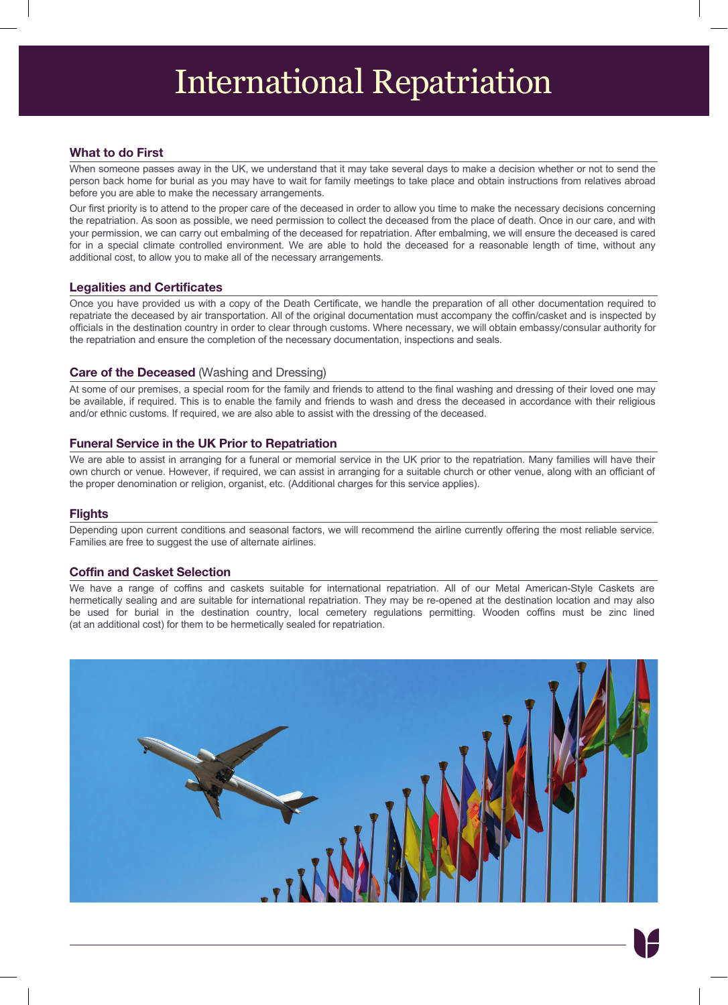#### **What to do First**

When someone passes away in the UK, we understand that it may take several days to make a decision whether or not to send the person back home for burial as you may have to wait for family meetings to take place and obtain instructions from relatives abroad before you are able to make the necessary arrangements.

Our first priority is to attend to the proper care of the deceased in order to allow you time to make the necessary decisions concerning the repatriation. As soon as possible, we need permission to collect the deceased from the place of death. Once in our care, and with your permission, we can carry out embalming of the deceased for repatriation. After embalming, we will ensure the deceased is cared for in a special climate controlled environment. We are able to hold the deceased for a reasonable length of time, without any additional cost, to allow you to make all of the necessary arrangements.

### **Legalities and Certificates**

Once you have provided us with a copy of the Death Certificate, we handle the preparation of all other documentation required to repatriate the deceased by air transportation. All of the original documentation must accompany the coffin/casket and is inspected by officials in the destination country in order to clear through customs. Where necessary, we will obtain embassy/consular authority for the repatriation and ensure the completion of the necessary documentation, inspections and seals.

#### **Care of the Deceased** (Washing and Dressing)

At some of our premises, a special room for the family and friends to attend to the final washing and dressing of their loved one may be available, if required. This is to enable the family and friends to wash and dress the deceased in accordance with their religious and/or ethnic customs. If required, we are also able to assist with the dressing of the deceased.

#### **Funeral Service in the UK Prior to Repatriation**

We are able to assist in arranging for a funeral or memorial service in the UK prior to the repatriation. Many families will have their own church or venue. However, if required, we can assist in arranging for a suitable church or other venue, along with an officiant of the proper denomination or religion, organist, etc. (Additional charges for this service applies).

#### **Flights**

Depending upon current conditions and seasonal factors, we will recommend the airline currently offering the most reliable service. Families are free to suggest the use of alternate airlines.

#### **Coffin and Casket Selection**

We have a range of coffins and caskets suitable for international repatriation. All of our Metal American-Style Caskets are hermetically sealing and are suitable for international repatriation. They may be re-opened at the destination location and may also be used for burial in the destination country, local cemetery regulations permitting. Wooden coffins must be zinc lined (at an additional cost) for them to be hermetically sealed for repatriation.